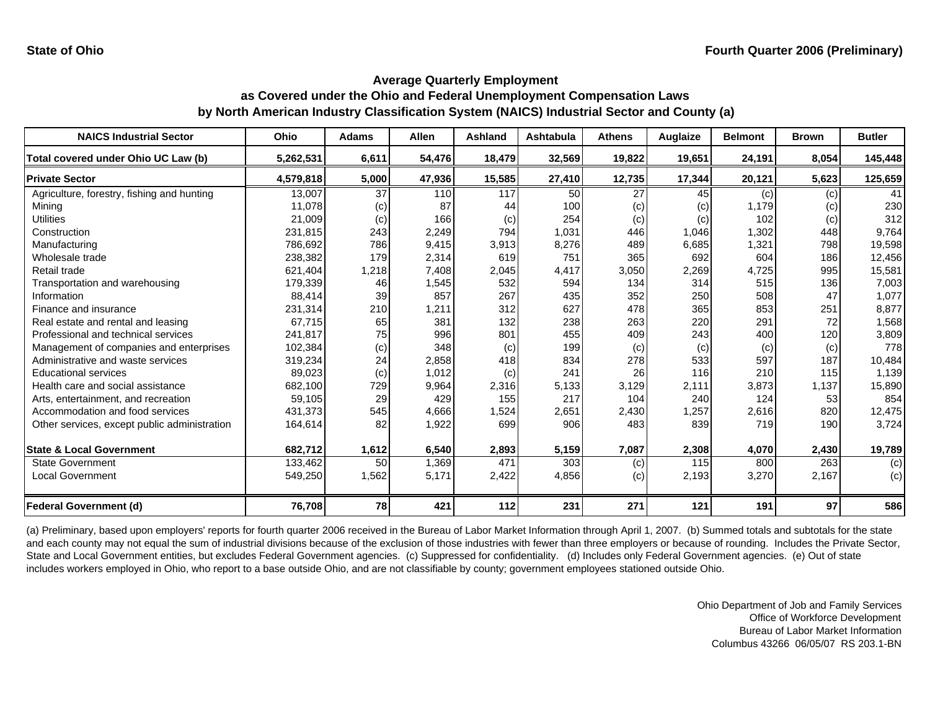| <b>NAICS Industrial Sector</b>               | Ohio      | <b>Adams</b> | <b>Allen</b> | <b>Ashland</b> | Ashtabula       | <b>Athens</b>   | Auglaize | <b>Belmont</b> | <b>Brown</b> | <b>Butler</b> |
|----------------------------------------------|-----------|--------------|--------------|----------------|-----------------|-----------------|----------|----------------|--------------|---------------|
| Total covered under Ohio UC Law (b)          | 5,262,531 | 6,611        | 54,476       | 18,479         | 32,569          | 19,822          | 19,651   | 24,191         | 8,054        | 145,448       |
| <b>Private Sector</b>                        | 4,579,818 | 5,000        | 47,936       | 15,585         | 27,410          | 12,735          | 17,344   | 20,121         | 5,623        | 125,659       |
| Agriculture, forestry, fishing and hunting   | 13,007    | 37           | 110          | 117            | 50 <sub>l</sub> | $\overline{27}$ | 45       | (c)            | (c)          | 41            |
| Mining                                       | 11,078    | (c)          | 87           | 44             | 100             | (c)             | (c)      | 1,179          | (c)          | 230           |
| <b>Utilities</b>                             | 21,009    | (c)          | 166          | (c)            | 254             | (c)             | (c)      | 102            | (c)          | 312           |
| Construction                                 | 231,815   | 243          | 2,249        | 794            | 1,031           | 446             | 1,046    | 1,302          | 448          | 9,764         |
| Manufacturing                                | 786,692   | 786          | 9,415        | 3,913          | 8,276           | 489             | 6,685    | 1,321          | 798          | 19,598        |
| Wholesale trade                              | 238,382   | 179          | 2,314        | 619            | 751             | 365             | 692      | 604            | 186          | 12,456        |
| Retail trade                                 | 621,404   | 1,218        | 7,408        | 2,045          | 4,417           | 3,050           | 2,269    | 4,725          | 995          | 15,581        |
| Transportation and warehousing               | 179,339   | 46           | 1,545        | 532            | 594             | 134             | 314      | 515            | 136          | 7,003         |
| Information                                  | 88,414    | 39           | 857          | 267            | 435             | 352             | 250      | 508            | 47           | 1,077         |
| Finance and insurance                        | 231,314   | 210          | 1,211        | 312            | 627             | 478             | 365      | 853            | 251          | 8,877         |
| Real estate and rental and leasing           | 67.715    | 65           | 381          | 132            | 238             | 263             | 220      | 291            | 72           | 1,568         |
| Professional and technical services          | 241,817   | 75           | 996          | 801            | 455             | 409             | 243      | 400            | 120          | 3,809         |
| Management of companies and enterprises      | 102,384   | (c)          | 348          | (c)            | 199             | (c)             | (c)      | (c)            | (c)          | 778           |
| Administrative and waste services            | 319,234   | 24           | 2,858        | 418            | 834             | 278             | 533      | 597            | 187          | 10,484        |
| <b>Educational services</b>                  | 89,023    | (c)          | 1,012        | (c)            | 241             | 26              | 116      | 210            | 115          | 1,139         |
| Health care and social assistance            | 682,100   | 729          | 9,964        | 2,316          | 5,133           | 3,129           | 2,111    | 3,873          | 1,137        | 15,890        |
| Arts, entertainment, and recreation          | 59,105    | 29           | 429          | 155            | 217             | 104             | 240      | 124            | 53           | 854           |
| Accommodation and food services              | 431,373   | 545          | 4,666        | 1,524          | 2,651           | 2,430           | 1,257    | 2,616          | 820          | 12,475        |
| Other services, except public administration | 164,614   | 82           | 1,922        | 699            | 906             | 483             | 839      | 719            | 190          | 3,724         |
| <b>State &amp; Local Government</b>          | 682,712   | 1,612        | 6,540        | 2,893          | 5,159           | 7,087           | 2,308    | 4,070          | 2,430        | 19,789        |
| <b>State Government</b>                      | 133,462   | 50           | 1,369        | 471            | 303             | (c)             | 115      | 800            | 263          | (c)           |
| Local Government                             | 549,250   | 1,562        | 5,171        | 2,422          | 4,856           | (c)             | 2,193    | 3,270          | 2,167        | (c)           |
| <b>Federal Government (d)</b>                | 76,708    | 78           | 421          | 112            | 231             | 271             | 121      | 191            | 97           | 586           |

(a) Preliminary, based upon employers' reports for fourth quarter 2006 received in the Bureau of Labor Market Information through April 1, 2007. (b) Summed totals and subtotals for the state and each county may not equal the sum of industrial divisions because of the exclusion of those industries with fewer than three employers or because of rounding. Includes the Private Sector, State and Local Government entities, but excludes Federal Government agencies. (c) Suppressed for confidentiality. (d) Includes only Federal Government agencies. (e) Out of state includes workers employed in Ohio, who report to a base outside Ohio, and are not classifiable by county; government employees stationed outside Ohio.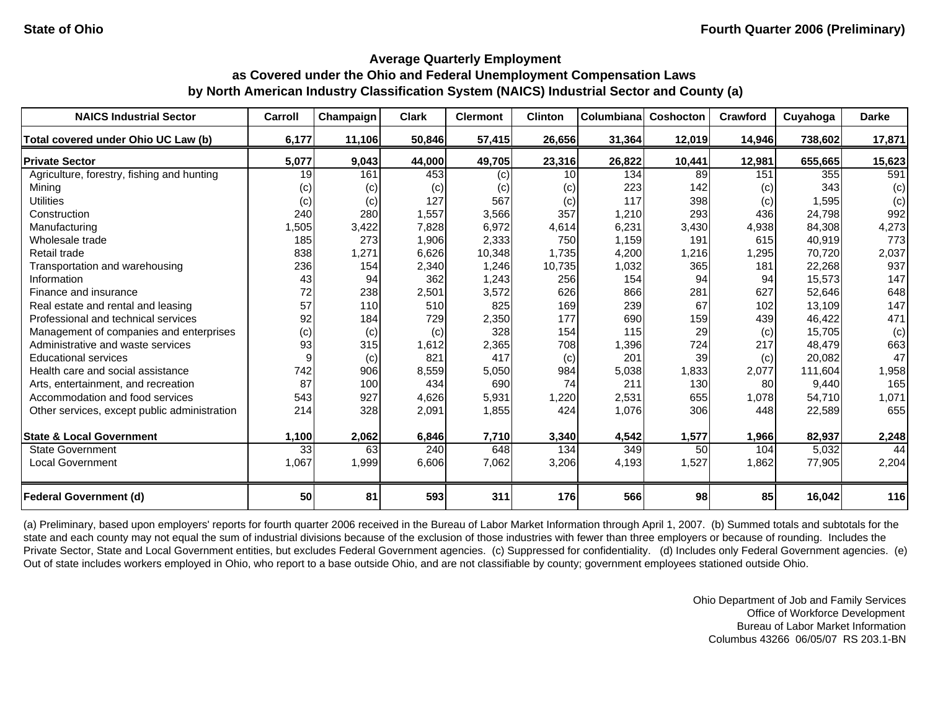| <b>NAICS Industrial Sector</b>               | Carroll | Champaign | <b>Clark</b> | <b>Clermont</b> | <b>Clinton</b> | Columbiana | Coshocton | Crawford | Cuyahoga | <b>Darke</b> |
|----------------------------------------------|---------|-----------|--------------|-----------------|----------------|------------|-----------|----------|----------|--------------|
| Total covered under Ohio UC Law (b)          | 6,177   | 11,106    | 50,846       | 57,415          | 26,656         | 31,364     | 12,019    | 14,946   | 738,602  | 17,871       |
| <b>Private Sector</b>                        | 5,077   | 9,043     | 44,000       | 49,705          | 23,316         | 26,822     | 10,441    | 12,981   | 655,665  | 15,623       |
| Agriculture, forestry, fishing and hunting   | 19      | 161       | 453          | (c)             | 10             | 134        | 89        | 151      | 355      | 591          |
| Mining                                       | (c)     | (c)       | (c)          | (c)             | (c)            | 223        | 142       | (c)      | 343      | (c)          |
| <b>Utilities</b>                             | (c)     | (c)       | 127          | 567             | (c)            | 117        | 398       | (c)      | 1,595    | (c)          |
| Construction                                 | 240     | 280       | 1,557        | 3,566           | 357            | 1,210      | 293       | 436      | 24,798   | 992          |
| Manufacturing                                | 1,505   | 3,422     | 7,828        | 6,972           | 4,614          | 6,231      | 3,430     | 4,938    | 84,308   | 4,273        |
| Wholesale trade                              | 185     | 273       | 1,906        | 2,333           | 750            | 1,159      | 191       | 615      | 40,919   | 773          |
| Retail trade                                 | 838     | 1,271     | 6,626        | 10,348          | 1,735          | 4,200      | 1,216     | 1,295    | 70.720   | 2,037        |
| Transportation and warehousing               | 236     | 154       | 2,340        | 1,246           | 10,735         | 1,032      | 365       | 181      | 22,268   | 937          |
| Information                                  | 43      | 94        | 362          | 1,243           | 256            | 154        | 94        | 94       | 15,573   | 147          |
| Finance and insurance                        | 72      | 238       | 2,501        | 3,572           | 626            | 866        | 281       | 627      | 52.646   | 648          |
| Real estate and rental and leasing           | 57      | 110       | 510          | 825             | 169            | 239        | 67        | 102      | 13.109   | 147          |
| Professional and technical services          | 92      | 184       | 729          | 2,350           | 177            | 690        | 159       | 439      | 46,422   | 471          |
| Management of companies and enterprises      | (c)     | (c)       | (c)          | 328             | 154            | 115        | 29        | (c)      | 15,705   | (c)          |
| Administrative and waste services            | 93      | 315       | 1,612        | 2,365           | 708            | 1,396      | 724       | 217      | 48.479   | 663          |
| <b>Educational services</b>                  | 9       | (c)       | 821          | 417             | (c)            | 201        | 39        | (c)      | 20,082   | 47           |
| Health care and social assistance            | 742     | 906       | 8,559        | 5,050           | 984            | 5,038      | 1,833     | 2,077    | 111.604  | 1,958        |
| Arts, entertainment, and recreation          | 87      | 100       | 434          | 690             | 74             | 211        | 130       | 80       | 9,440    | 165          |
| Accommodation and food services              | 543     | 927       | 4,626        | 5,931           | 1,220          | 2,531      | 655       | 1,078    | 54,710   | 1,071        |
| Other services, except public administration | 214     | 328       | 2,091        | 1,855           | 424            | 1,076      | 306       | 448      | 22,589   | 655          |
| <b>State &amp; Local Government</b>          | 1,100   | 2,062     | 6,846        | 7,710           | 3,340          | 4,542      | 1,577     | 1,966    | 82,937   | 2,248        |
| <b>State Government</b>                      | 33      | 63        | 240          | 648             | 134            | 349        | 50        | 104      | 5,032    | 44           |
| <b>Local Government</b>                      | 1,067   | 1,999     | 6,606        | 7,062           | 3,206          | 4,193      | 1,527     | 1,862    | 77,905   | 2,204        |
| <b>Federal Government (d)</b>                | 50      | 81        | 593          | 311             | 176            | 566        | 98        | 85       | 16,042   | 116          |

(a) Preliminary, based upon employers' reports for fourth quarter 2006 received in the Bureau of Labor Market Information through April 1, 2007. (b) Summed totals and subtotals for the state and each county may not equal the sum of industrial divisions because of the exclusion of those industries with fewer than three employers or because of rounding. Includes the Private Sector, State and Local Government entities, but excludes Federal Government agencies. (c) Suppressed for confidentiality. (d) Includes only Federal Government agencies. (e) Out of state includes workers employed in Ohio, who report to a base outside Ohio, and are not classifiable by county; government employees stationed outside Ohio.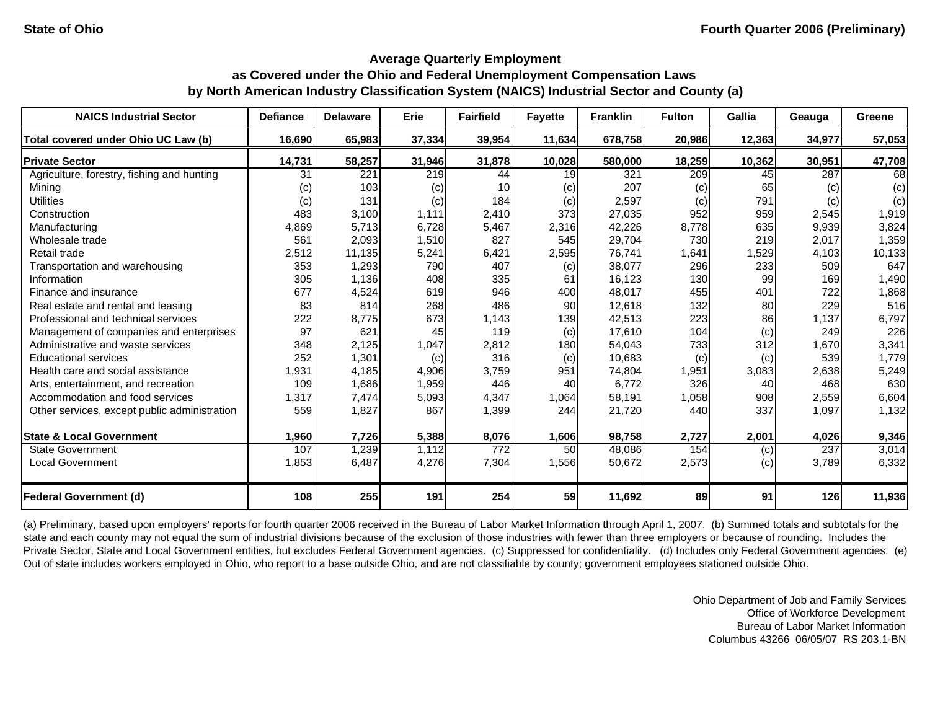| <b>NAICS Industrial Sector</b>               | <b>Defiance</b> | <b>Delaware</b> | <b>Erie</b> | <b>Fairfield</b> | <b>Fayette</b> | <b>Franklin</b> | <b>Fulton</b> | Gallia | Geauga | Greene |
|----------------------------------------------|-----------------|-----------------|-------------|------------------|----------------|-----------------|---------------|--------|--------|--------|
| Total covered under Ohio UC Law (b)          | 16,690          | 65,983          | 37,334      | 39,954           | 11,634         | 678,758         | 20,986        | 12,363 | 34,977 | 57,053 |
| <b>Private Sector</b>                        | 14,731          | 58,257          | 31,946      | 31,878           | 10,028         | 580,000         | 18,259        | 10,362 | 30,951 | 47,708 |
| Agriculture, forestry, fishing and hunting   | 31              | 221             | 219         | 44               | 19             | 321             | 209           | 45     | 287    | 68     |
| Minina                                       | (c)             | 103             | (c)         | 10               | (c)            | 207             | (c)           | 65     | (c)    | (c)    |
| <b>Utilities</b>                             | (c)             | 131             | (c)         | 184              | (c)            | 2,597           | (c)           | 791    | (c)    | (c)    |
| Construction                                 | 483             | 3,100           | 1,111       | 2,410            | 373            | 27,035          | 952           | 959    | 2,545  | 1,919  |
| Manufacturing                                | 4,869           | 5,713           | 6,728       | 5,467            | 2,316          | 42,226          | 8,778         | 635    | 9,939  | 3,824  |
| Wholesale trade                              | 561             | 2,093           | 1,510       | 827              | 545            | 29,704          | 730           | 219    | 2,017  | 1,359  |
| Retail trade                                 | 2,512           | 11,135          | 5,241       | 6,421            | 2,595          | 76,741          | 1,641         | 1,529  | 4,103  | 10,133 |
| Transportation and warehousing               | 353             | 1,293           | 790         | 407              | (c)            | 38,077          | 296           | 233    | 509    | 647    |
| Information                                  | 305             | 1,136           | 408         | 335              | 61             | 16,123          | 130           | 99     | 169    | 1,490  |
| Finance and insurance                        | 677             | 4,524           | 619         | 946              | 400            | 48,017          | 455           | 401    | 722    | 1,868  |
| Real estate and rental and leasing           | 83              | 814             | 268         | 486              | 90             | 12,618          | 132           | 80     | 229    | 516    |
| Professional and technical services          | 222             | 8,775           | 673         | 1,143            | 139            | 42,513          | 223           | 86     | 1,137  | 6,797  |
| Management of companies and enterprises      | 97              | 621             | 45          | 119              | (c)            | 17,610          | 104           | (c)    | 249    | 226    |
| Administrative and waste services            | 348             | 2,125           | 1,047       | 2,812            | 180            | 54,043          | 733           | 312    | 1,670  | 3,341  |
| <b>Educational services</b>                  | 252             | 1,301           | (c)         | 316              | (c)            | 10,683          | (c)           | (c)    | 539    | 1,779  |
| Health care and social assistance            | 1,931           | 4,185           | 4,906       | 3,759            | 951            | 74,804          | 1,951         | 3,083  | 2,638  | 5,249  |
| Arts, entertainment, and recreation          | 109             | 1,686           | 1,959       | 446              | 40             | 6,772           | 326           | 40     | 468    | 630    |
| Accommodation and food services              | 1,317           | 7,474           | 5,093       | 4,347            | 1,064          | 58,191          | 1,058         | 908    | 2,559  | 6,604  |
| Other services, except public administration | 559             | 1,827           | 867         | 1,399            | 244            | 21,720          | 440           | 337    | 1,097  | 1,132  |
| <b>State &amp; Local Government</b>          | 1,960           | 7,726           | 5,388       | 8,076            | 1,606          | 98,758          | 2,727         | 2,001  | 4,026  | 9,346  |
| <b>State Government</b>                      | 107             | 1,239           | 1,112       | $\overline{772}$ | 50             | 48,086          | 154           | (c)    | 237    | 3,014  |
| <b>Local Government</b>                      | 1,853           | 6,487           | 4,276       | 7,304            | 1,556          | 50,672          | 2,573         | (c)    | 3,789  | 6,332  |
|                                              |                 |                 |             |                  |                |                 |               |        |        |        |
| <b>Federal Government (d)</b>                | 108             | 255             | 191         | 254              | 59             | 11,692          | 89            | 91     | 126    | 11,936 |

(a) Preliminary, based upon employers' reports for fourth quarter 2006 received in the Bureau of Labor Market Information through April 1, 2007. (b) Summed totals and subtotals for the state and each county may not equal the sum of industrial divisions because of the exclusion of those industries with fewer than three employers or because of rounding. Includes the Private Sector, State and Local Government entities, but excludes Federal Government agencies. (c) Suppressed for confidentiality. (d) Includes only Federal Government agencies. (e) Out of state includes workers employed in Ohio, who report to a base outside Ohio, and are not classifiable by county; government employees stationed outside Ohio.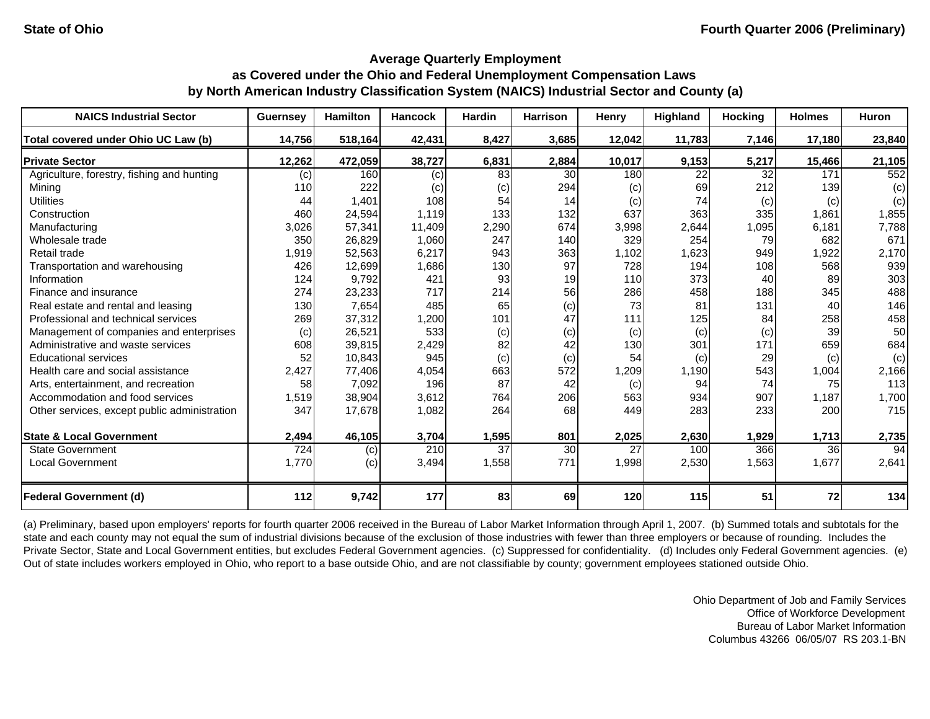| <b>NAICS Industrial Sector</b>               | Guernsey         | <b>Hamilton</b> | <b>Hancock</b> | Hardin          | <b>Harrison</b> | Henry  | Highland | <b>Hocking</b> | <b>Holmes</b> | Huron  |
|----------------------------------------------|------------------|-----------------|----------------|-----------------|-----------------|--------|----------|----------------|---------------|--------|
| Total covered under Ohio UC Law (b)          | 14,756           | 518,164         | 42,431         | 8,427           | 3,685           | 12,042 | 11,783   | 7,146          | 17,180        | 23,840 |
| <b>Private Sector</b>                        | 12,262           | 472,059         | 38,727         | 6,831           | 2,884           | 10,017 | 9,153    | 5,217          | 15,466        | 21,105 |
| Agriculture, forestry, fishing and hunting   | (c)              | 160             | (c)            | 83              | 30              | 180    | 22       | 32             | 171           | 552    |
| Minina                                       | 110              | 222             | (c)            | (c)             | 294             | (c)    | 69       | 212            | 139           | (c)    |
| <b>Utilities</b>                             | 44               | 1,401           | 108            | 54              | 14              | (c)    | 74       | (c)            | (c)           | (c)    |
| Construction                                 | 460              | 24,594          | 1,119          | 133             | 132             | 637    | 363      | 335            | 1,861         | 1,855  |
| Manufacturing                                | 3,026            | 57,341          | 11,409         | 2,290           | 674             | 3,998  | 2,644    | 1,095          | 6,181         | 7,788  |
| Wholesale trade                              | 350              | 26,829          | 1,060          | 247             | 140             | 329    | 254      | 79             | 682           | 671    |
| Retail trade                                 | 1,919            | 52,563          | 6,217          | 943             | 363             | 1,102  | 1,623    | 949            | 1,922         | 2,170  |
| Transportation and warehousing               | 426              | 12,699          | 1,686          | 130             | 97              | 728    | 194      | 108            | 568           | 939    |
| Information                                  | 124              | 9,792           | 421            | 93              | 19              | 110    | 373      | 40             | 89            | 303    |
| Finance and insurance                        | 274              | 23,233          | 717            | 214             | 56              | 286    | 458      | 188            | 345           | 488    |
| Real estate and rental and leasing           | 130              | 7,654           | 485            | 65              | (c)             | 73     | 81       | 131            | 40            | 146    |
| Professional and technical services          | 269              | 37,312          | 1,200          | 101             | 47              | 111    | 125      | 84             | 258           | 458    |
| Management of companies and enterprises      | (c)              | 26,521          | 533            | (c)             | (c)             | (c)    | (c)      | (c)            | 39            | 50     |
| Administrative and waste services            | 608              | 39,815          | 2,429          | 82              | 42              | 130    | 301      | 171            | 659           | 684    |
| <b>Educational services</b>                  | 52               | 10,843          | 945            | (c)             | (c)             | 54     | (c)      | 29             | (c)           | (c)    |
| Health care and social assistance            | 2,427            | 77,406          | 4,054          | 663             | 572             | 1,209  | 1,190    | 543            | 1,004         | 2,166  |
| Arts, entertainment, and recreation          | 58               | 7,092           | 196            | 87              | 42              | (c)    | 94       | 74             | 75            | 113    |
| Accommodation and food services              | 1,519            | 38,904          | 3,612          | 764             | 206             | 563    | 934      | 907            | 1,187         | 1,700  |
| Other services, except public administration | 347              | 17,678          | 1,082          | 264             | 68              | 449    | 283      | 233            | 200           | 715    |
| <b>State &amp; Local Government</b>          | 2,494            | 46,105          | 3,704          | 1,595           | 801             | 2,025  | 2,630    | 1,929          | 1,713         | 2,735  |
| <b>State Government</b>                      | $\overline{724}$ | (c)             | 210            | $\overline{37}$ | 30              | 27     | 100      | 366            | 36            | 94     |
| Local Government                             | 1,770            | (c)             | 3,494          | 1,558           | 771             | 1,998  | 2,530    | 1,563          | 1,677         | 2,641  |
| <b>Federal Government (d)</b>                | 112              | 9,742           | 177            | 83              | 69              | 120    | 115      | 51             | 72            | 134    |

(a) Preliminary, based upon employers' reports for fourth quarter 2006 received in the Bureau of Labor Market Information through April 1, 2007. (b) Summed totals and subtotals for the state and each county may not equal the sum of industrial divisions because of the exclusion of those industries with fewer than three employers or because of rounding. Includes the Private Sector, State and Local Government entities, but excludes Federal Government agencies. (c) Suppressed for confidentiality. (d) Includes only Federal Government agencies. (e) Out of state includes workers employed in Ohio, who report to a base outside Ohio, and are not classifiable by county; government employees stationed outside Ohio.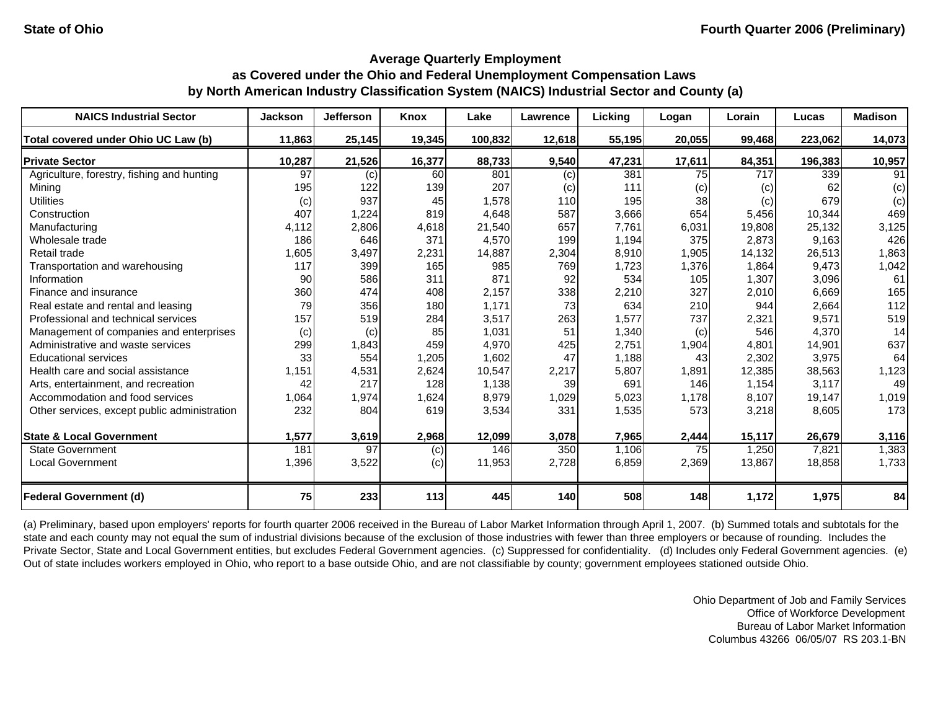| <b>NAICS Industrial Sector</b>               | <b>Jackson</b> | <b>Jefferson</b> | Knox   | Lake    | Lawrence | Lickina | Logan  | Lorain | Lucas   | <b>Madison</b> |
|----------------------------------------------|----------------|------------------|--------|---------|----------|---------|--------|--------|---------|----------------|
| Total covered under Ohio UC Law (b)          | 11,863         | 25,145           | 19,345 | 100,832 | 12,618   | 55,195  | 20,055 | 99,468 | 223,062 | 14,073         |
| <b>Private Sector</b>                        | 10,287         | 21,526           | 16,377 | 88,733  | 9,540    | 47,231  | 17,611 | 84,351 | 196,383 | 10,957         |
| Agriculture, forestry, fishing and hunting   | 97             | (c)              | 60     | 801     | (c)      | 381     | 75     | 717    | 339     | 91             |
| Mining                                       | 195            | 122              | 139    | 207     | (c)      | 111     | (c)    | (c)    | 62      | (c)            |
| <b>Utilities</b>                             | (c)            | 937              | 45     | 1,578   | 110      | 195     | 38     | (c)    | 679     | (c)            |
| Construction                                 | 407            | 1,224            | 819    | 4,648   | 587      | 3,666   | 654    | 5,456  | 10,344  | 469            |
| Manufacturing                                | 4,112          | 2,806            | 4,618  | 21,540  | 657      | 7,761   | 6,031  | 19,808 | 25,132  | 3,125          |
| Wholesale trade                              | 186            | 646              | 371    | 4,570   | 199      | 1,194   | 375    | 2,873  | 9,163   | 426            |
| Retail trade                                 | 1,605          | 3,497            | 2,231  | 14,887  | 2,304    | 8,910   | 1,905  | 14,132 | 26,513  | 1,863          |
| Transportation and warehousing               | 117            | 399              | 165    | 985     | 769      | 1,723   | 1,376  | 1,864  | 9,473   | 1,042          |
| Information                                  | 90             | 586              | 311    | 871     | 92       | 534     | 105    | 1,307  | 3,096   | 61             |
| Finance and insurance                        | 360            | 474              | 408    | 2,157   | 338      | 2,210   | 327    | 2,010  | 6,669   | 165            |
| Real estate and rental and leasing           | 79             | 356              | 180    | 1,171   | 73       | 634     | 210    | 944    | 2,664   | 112            |
| Professional and technical services          | 157            | 519              | 284    | 3,517   | 263      | 1,577   | 737    | 2,321  | 9,571   | 519            |
| Management of companies and enterprises      | (c)            | (c)              | 85     | 1,031   | 51       | 1,340   | (c)    | 546    | 4,370   | 14             |
| Administrative and waste services            | 299            | 1,843            | 459    | 4,970   | 425      | 2,751   | 1,904  | 4,801  | 14,901  | 637            |
| <b>Educational services</b>                  | 33             | 554              | 1,205  | 1,602   | 47       | 1,188   | 43     | 2,302  | 3,975   | 64             |
| Health care and social assistance            | 1,151          | 4,531            | 2,624  | 10,547  | 2,217    | 5,807   | 1,891  | 12,385 | 38,563  | 1,123          |
| Arts, entertainment, and recreation          | 42             | 217              | 128    | 1,138   | 39       | 691     | 146    | 1,154  | 3,117   | 49             |
| Accommodation and food services              | 1,064          | 1,974            | 1,624  | 8,979   | 1,029    | 5,023   | 1,178  | 8,107  | 19,147  | 1,019          |
| Other services, except public administration | 232            | 804              | 619    | 3,534   | 331      | 1,535   | 573    | 3,218  | 8,605   | 173            |
| <b>State &amp; Local Government</b>          | 1,577          | 3,619            | 2,968  | 12,099  | 3,078    | 7,965   | 2,444  | 15,117 | 26,679  | 3,116          |
| <b>State Government</b>                      | 181            | 97               | (c)    | 146     | 350      | 1,106   | 75     | 1,250  | 7,821   | 1,383          |
| <b>Local Government</b>                      | 1,396          | 3,522            | (c)    | 11,953  | 2,728    | 6,859   | 2,369  | 13,867 | 18,858  | 1,733          |
| <b>Federal Government (d)</b>                | 75             | 233              | 113    | 445     | 140      | 508     | 148    | 1,172  | 1,975   | 84             |

(a) Preliminary, based upon employers' reports for fourth quarter 2006 received in the Bureau of Labor Market Information through April 1, 2007. (b) Summed totals and subtotals for the state and each county may not equal the sum of industrial divisions because of the exclusion of those industries with fewer than three employers or because of rounding. Includes the Private Sector, State and Local Government entities, but excludes Federal Government agencies. (c) Suppressed for confidentiality. (d) Includes only Federal Government agencies. (e) Out of state includes workers employed in Ohio, who report to a base outside Ohio, and are not classifiable by county; government employees stationed outside Ohio.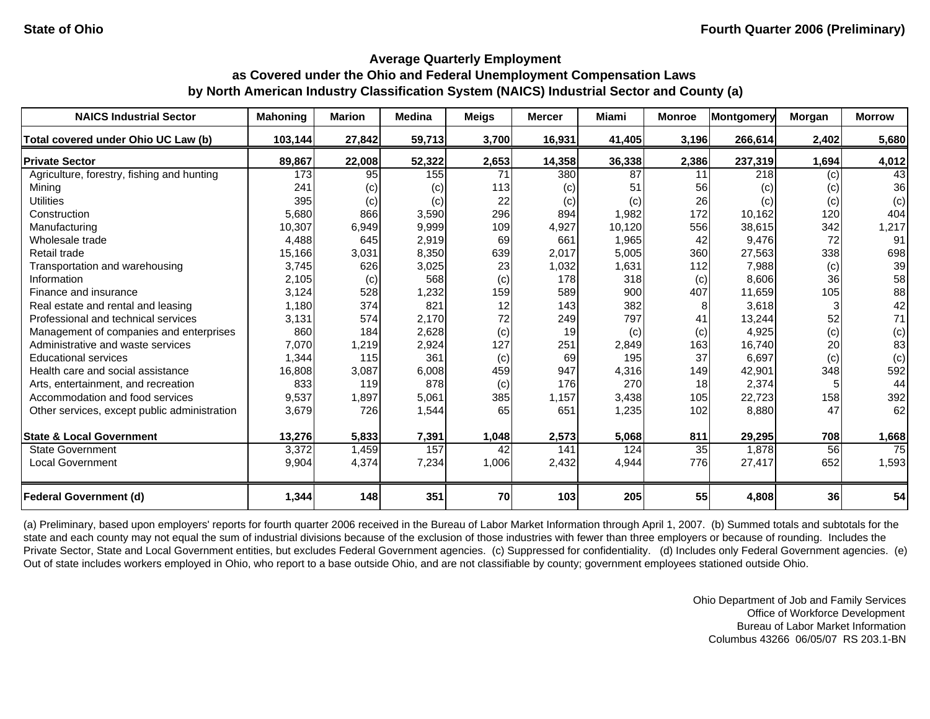| <b>NAICS Industrial Sector</b>               | <b>Mahoning</b> | <b>Marion</b> | <b>Medina</b> | <b>Meigs</b> | <b>Mercer</b> | Miami  | <b>Monroe</b> | <b>Montgomery</b> | Morgan | <b>Morrow</b> |
|----------------------------------------------|-----------------|---------------|---------------|--------------|---------------|--------|---------------|-------------------|--------|---------------|
| Total covered under Ohio UC Law (b)          | 103,144         | 27,842        | 59,713        | 3,700        | 16,931        | 41,405 | 3,196         | 266,614           | 2,402  | 5,680         |
| <b>Private Sector</b>                        | 89,867          | 22,008        | 52,322        | 2,653        | 14,358        | 36,338 | 2,386         | 237,319           | 1,694  | 4,012         |
| Agriculture, forestry, fishing and hunting   | 173             | 95            | 155           | 71           | 380           | 87     | 11            | 218               | (c)    | 43            |
| Mining                                       | 241             | (c)           | (c)           | 113          | (c)           | 51     | 56            | (c)               | (c)    | 36            |
| <b>Utilities</b>                             | 395             | (c)           | (c)           | 22           | (c)           | (c)    | 26            | (c)               | (c)    | (c)           |
| Construction                                 | 5,680           | 866           | 3,590         | 296          | 894           | 1,982  | 172           | 10,162            | 120    | 404           |
| Manufacturing                                | 10,307          | 6,949         | 9,999         | 109          | 4,927         | 10,120 | 556           | 38,615            | 342    | 1,217         |
| Wholesale trade                              | 4,488           | 645           | 2,919         | 69           | 661           | 1,965  | 42            | 9,476             | 72     | 91            |
| Retail trade                                 | 15,166          | 3,031         | 8,350         | 639          | 2,017         | 5,005  | 360           | 27,563            | 338    | 698           |
| Transportation and warehousing               | 3,745           | 626           | 3,025         | 23           | 1,032         | 1,631  | 112           | 7,988             | (c)    | 39            |
| Information                                  | 2,105           | (c)           | 568           | (c)          | 178           | 318    | (c)           | 8,606             | 36     | 58            |
| Finance and insurance                        | 3,124           | 528           | 1,232         | 159          | 589           | 900    | 407           | 11,659            | 105    | 88            |
| Real estate and rental and leasing           | 1,180           | 374           | 821           | 12           | 143           | 382    | 8             | 3,618             |        | 42            |
| Professional and technical services          | 3,131           | 574           | 2,170         | 72           | 249           | 797    | 41            | 13,244            | 52     | 71            |
| Management of companies and enterprises      | 860             | 184           | 2,628         | (c)          | 19            | (c)    | (c)           | 4,925             | (c)    | (c)           |
| Administrative and waste services            | 7,070           | 1,219         | 2,924         | 127          | 251           | 2,849  | 163           | 16.740            | 20     | 83            |
| <b>Educational services</b>                  | 1,344           | 115           | 361           | (c)          | 69            | 195    | 37            | 6,697             | (c)    | (c)           |
| Health care and social assistance            | 16,808          | 3,087         | 6,008         | 459          | 947           | 4,316  | 149           | 42,901            | 348    | 592           |
| Arts, entertainment, and recreation          | 833             | 119           | 878           | (c)          | 176           | 270    | 18            | 2,374             |        | 44            |
| Accommodation and food services              | 9,537           | 1,897         | 5,061         | 385          | 1,157         | 3,438  | 105           | 22,723            | 158    | 392           |
| Other services, except public administration | 3,679           | 726           | 1,544         | 65           | 651           | 1,235  | 102           | 8,880             | 47     | 62            |
| <b>State &amp; Local Government</b>          | 13,276          | 5,833         | 7,391         | 1,048        | 2,573         | 5,068  | 811           | 29,295            | 708    | 1,668         |
| <b>State Government</b>                      | 3,372           | 1,459         | 157           | 42           | 141           | 124    | 35            | 1,878             | 56     | 75            |
| <b>Local Government</b>                      | 9,904           | 4,374         | 7,234         | 1,006        | 2,432         | 4,944  | 776           | 27,417            | 652    | 1,593         |
| <b>Federal Government (d)</b>                | 1,344           | 148           | 351           | 70           | 103           | 205    | 55            | 4,808             | 36     | 54            |

(a) Preliminary, based upon employers' reports for fourth quarter 2006 received in the Bureau of Labor Market Information through April 1, 2007. (b) Summed totals and subtotals for the state and each county may not equal the sum of industrial divisions because of the exclusion of those industries with fewer than three employers or because of rounding. Includes the Private Sector, State and Local Government entities, but excludes Federal Government agencies. (c) Suppressed for confidentiality. (d) Includes only Federal Government agencies. (e) Out of state includes workers employed in Ohio, who report to a base outside Ohio, and are not classifiable by county; government employees stationed outside Ohio.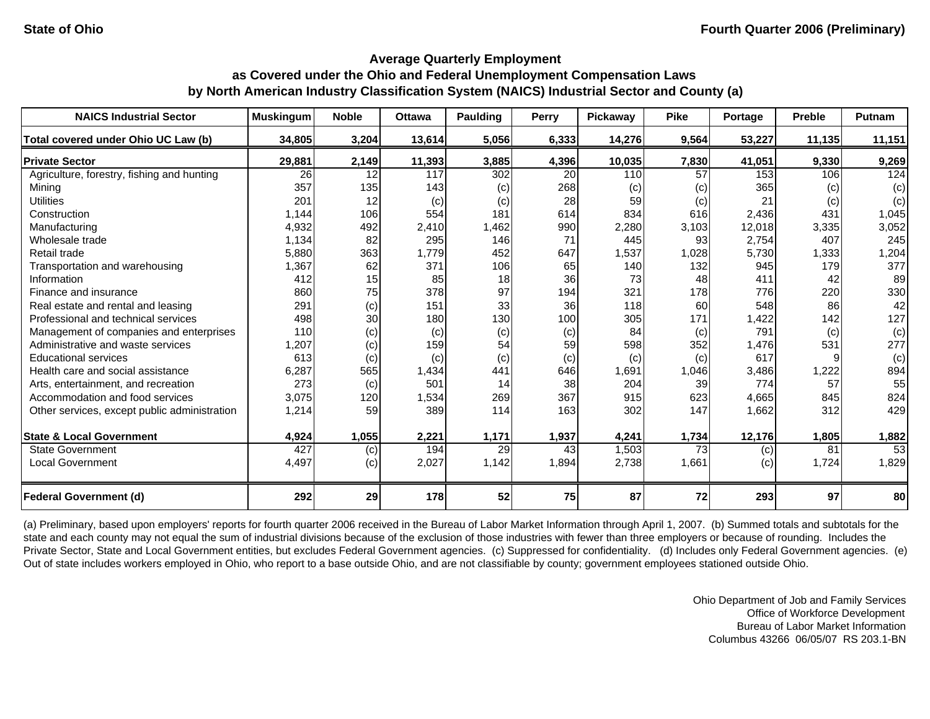| <b>NAICS Industrial Sector</b>               | <b>Muskingum</b> | <b>Noble</b> | <b>Ottawa</b> | Paulding | <b>Perry</b> | Pickaway | <b>Pike</b>     | Portage | <b>Preble</b> | Putnam |
|----------------------------------------------|------------------|--------------|---------------|----------|--------------|----------|-----------------|---------|---------------|--------|
| Total covered under Ohio UC Law (b)          | 34,805           | 3,204        | 13,614        | 5,056    | 6,333        | 14,276   | 9,564           | 53,227  | 11,135        | 11,151 |
| <b>Private Sector</b>                        | 29,881           | 2,149        | 11,393        | 3,885    | 4,396        | 10,035   | 7,830           | 41,051  | 9,330         | 9,269  |
| Agriculture, forestry, fishing and hunting   | 26               | 12           | 117           | 302      | 20           | 110      | 57              | 153     | 106           | 124    |
| Mining                                       | 357              | 135          | 143           | (c)      | 268          | (c)      | (c)             | 365     | (c)           | (c)    |
| <b>Utilities</b>                             | 201              | 12           | (c)           | (c)      | 28           | 59       | (c)             | 21      | (c)           | (c)    |
| Construction                                 | 1,144            | 106          | 554           | 181      | 614          | 834      | 616             | 2,436   | 431           | 1,045  |
| Manufacturing                                | 4,932            | 492          | 2,410         | 1,462    | 990          | 2,280    | 3,103           | 12,018  | 3,335         | 3,052  |
| Wholesale trade                              | 1,134            | 82           | 295           | 146      | 71           | 445      | 93              | 2,754   | 407           | 245    |
| Retail trade                                 | 5,880            | 363          | 1,779         | 452      | 647          | 1,537    | 1,028           | 5,730   | 1,333         | 1,204  |
| Transportation and warehousing               | 1,367            | 62           | 371           | 106      | 65           | 140      | 132             | 945     | 179           | 377    |
| Information                                  | 412              | 15           | 85            | 18       | 36           | 73       | 48              | 411     | 42            | 89     |
| Finance and insurance                        | 860              | 75           | 378           | 97       | 194          | 321      | 178             | 776     | 220           | 330    |
| Real estate and rental and leasing           | 291              | (c)          | 151           | 33       | 36           | 118      | 60              | 548     | 86            | 42     |
| Professional and technical services          | 498              | 30           | 180           | 130      | 100          | 305      | 171             | 1,422   | 142           | 127    |
| Management of companies and enterprises      | 110              | (c)          | (c)           | (c)      | (c)          | 84       | (c)             | 791     | (c)           | (c)    |
| Administrative and waste services            | 1,207            | (c)          | 159           | 54       | 59           | 598      | 352             | 1,476   | 531           | 277    |
| <b>Educational services</b>                  | 613              | (c)          | (c)           | (c)      | (c)          | (c)      | (c)             | 617     |               | (c)    |
| Health care and social assistance            | 6,287            | 565          | 1,434         | 441      | 646          | 1,691    | 1,046           | 3,486   | 1,222         | 894    |
| Arts, entertainment, and recreation          | 273              | (c)          | 501           | 14       | 38           | 204      | 39              | 774     | 57            | 55     |
| Accommodation and food services              | 3,075            | 120          | 1,534         | 269      | 367          | 915      | 623             | 4,665   | 845           | 824    |
| Other services, except public administration | 1,214            | 59           | 389           | 114      | 163          | 302      | 147             | 1,662   | 312           | 429    |
| <b>State &amp; Local Government</b>          | 4,924            | 1,055        | 2,221         | 1,171    | 1,937        | 4,241    | 1,734           | 12,176  | 1,805         | 1,882  |
| <b>State Government</b>                      | 427              | (c)          | 194           | 29       | 43           | 1,503    | $\overline{73}$ | (c)     | 81            | 53     |
| <b>Local Government</b>                      | 4,497            | (c)          | 2,027         | 1,142    | 1,894        | 2,738    | 1,661           | (c)     | 1,724         | 1,829  |
| <b>Federal Government (d)</b>                | 292              | 29           | 178           | 52       | 75           | 87       | 72              | 293     | 97            | 80     |

(a) Preliminary, based upon employers' reports for fourth quarter 2006 received in the Bureau of Labor Market Information through April 1, 2007. (b) Summed totals and subtotals for the state and each county may not equal the sum of industrial divisions because of the exclusion of those industries with fewer than three employers or because of rounding. Includes the Private Sector, State and Local Government entities, but excludes Federal Government agencies. (c) Suppressed for confidentiality. (d) Includes only Federal Government agencies. (e) Out of state includes workers employed in Ohio, who report to a base outside Ohio, and are not classifiable by county; government employees stationed outside Ohio.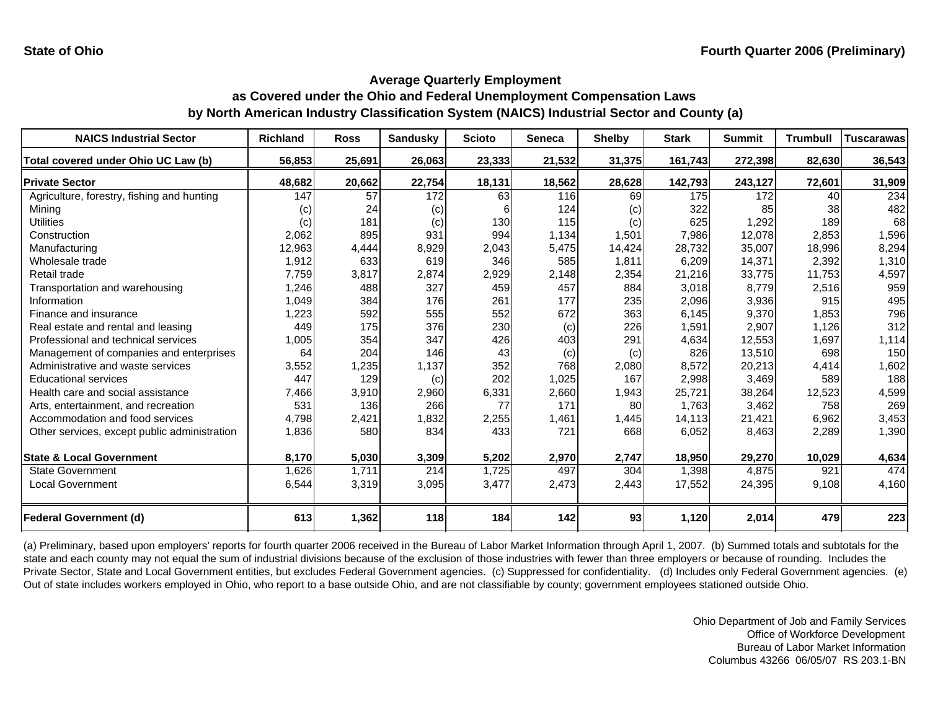| <b>NAICS Industrial Sector</b>               | <b>Richland</b> | <b>Ross</b> | <b>Sandusky</b> | <b>Scioto</b> | <b>Seneca</b> | <b>Shelby</b> | <b>Stark</b> | <b>Summit</b> | <b>Trumbull</b> | <b>Tuscarawas</b> |
|----------------------------------------------|-----------------|-------------|-----------------|---------------|---------------|---------------|--------------|---------------|-----------------|-------------------|
| Total covered under Ohio UC Law (b)          | 56,853          | 25,691      | 26,063          | 23,333        | 21,532        | 31,375        | 161,743      | 272,398       | 82,630          | 36,543            |
| <b>Private Sector</b>                        | 48,682          | 20,662      | 22,754          | 18,131        | 18,562        | 28,628        | 142,793      | 243,127       | 72,601          | 31,909            |
| Agriculture, forestry, fishing and hunting   | 147             | 57          | 172             | 63            | 116           | 69            | 175          | 172           | 40              | 234               |
| Minina                                       | (c)             | 24          | (c)             | 61            | 124           | (C)           | 322          | 85            | 38              | 482               |
| <b>Utilities</b>                             | (c)             | 181         | (c)             | 130           | 115           | (c)           | 625          | 1,292         | 189             | 68                |
| Construction                                 | 2,062           | 895         | 931             | 994           | 1.134         | 1,501         | 7,986        | 12,078        | 2.853           | 1,596             |
| Manufacturing                                | 12,963          | 4,444       | 8,929           | 2,043         | 5,475         | 14,424        | 28,732       | 35,007        | 18,996          | 8,294             |
| Wholesale trade                              | 1,912           | 633         | 619             | 346           | 585           | 1,811         | 6,209        | 14,371        | 2,392           | 1,310             |
| Retail trade                                 | 7,759           | 3,817       | 2,874           | 2,929         | 2,148         | 2,354         | 21,216       | 33,775        | 11,753          | 4,597             |
| Transportation and warehousing               | 1,246           | 488         | 327             | 459           | 457           | 884           | 3,018        | 8,779         | 2,516           | 959               |
| Information                                  | 1,049           | 384         | 176             | 261           | 177           | 235           | 2,096        | 3,936         | 915             | 495               |
| Finance and insurance                        | 1,223           | 592         | 555             | 552           | 672           | 363           | 6,145        | 9,370         | 1,853           | 796               |
| Real estate and rental and leasing           | 449             | 175         | 376             | 230           | (c)           | 226           | 1,591        | 2,907         | 1,126           | 312               |
| Professional and technical services          | 1,005           | 354         | 347             | 426           | 403           | 291           | 4,634        | 12,553        | 1,697           | 1,114             |
| Management of companies and enterprises      | 64              | 204         | 146             | 43            | (c)           | (c)           | 826          | 13,510        | 698             | 150               |
| Administrative and waste services            | 3,552           | 1,235       | 1,137           | 352           | 768           | 2,080         | 8,572        | 20,213        | 4,414           | 1,602             |
| <b>Educational services</b>                  | 447             | 129         | (c)             | 202           | 1,025         | 167           | 2,998        | 3,469         | 589             | 188               |
| Health care and social assistance            | 7,466           | 3,910       | 2,960           | 6,331         | 2,660         | 1,943         | 25,721       | 38,264        | 12,523          | 4,599             |
| Arts, entertainment, and recreation          | 531             | 136         | 266             | 77            | 171           | 80            | 1.763        | 3,462         | 758             | 269               |
| Accommodation and food services              | 4,798           | 2,421       | 1,832           | 2,255         | 1,461         | 1,445         | 14,113       | 21,421        | 6,962           | 3,453             |
| Other services, except public administration | 1,836           | 580         | 834             | 433           | 721           | 668           | 6,052        | 8,463         | 2,289           | 1,390             |
| <b>State &amp; Local Government</b>          | 8,170           | 5,030       | 3,309           | 5,202         | 2,970         | 2,747         | 18,950       | 29,270        | 10,029          | 4,634             |
| <b>State Government</b>                      | 1,626           | 1,711       | 214             | 1,725         | 497           | 304           | 1,398        | 4,875         | 921             | 474               |
| Local Government                             | 6,544           | 3,319       | 3,095           | 3,477         | 2,473         | 2,443         | 17,552       | 24,395        | 9,108           | 4,160             |
| <b>Federal Government (d)</b>                | 613             | 1,362       | 118             | 184           | 142           | 93            | 1,120        | 2,014         | 479             | 223               |

(a) Preliminary, based upon employers' reports for fourth quarter 2006 received in the Bureau of Labor Market Information through April 1, 2007. (b) Summed totals and subtotals for the state and each county may not equal the sum of industrial divisions because of the exclusion of those industries with fewer than three employers or because of rounding. Includes the Private Sector, State and Local Government entities, but excludes Federal Government agencies. (c) Suppressed for confidentiality. (d) Includes only Federal Government agencies. (e) Out of state includes workers employed in Ohio, who report to a base outside Ohio, and are not classifiable by county; government employees stationed outside Ohio.